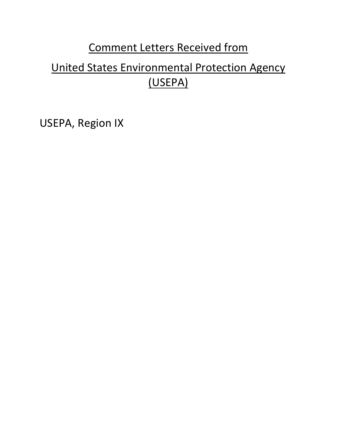## Comment Letters Received from

# United States Environmental Protection Agency (USEPA)

[USEPA, Region IX](#page-1-0)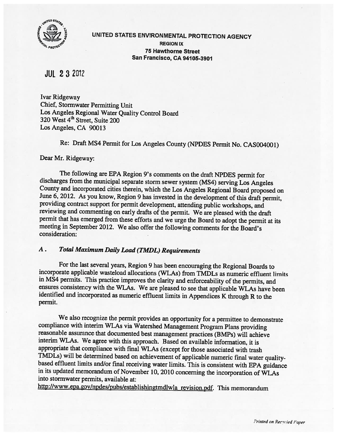<span id="page-1-0"></span>

UNITED STATES ENVIRONMENTAL PROTECTION AGENCY REGION IX 75 Hawthorne Street San Francisco, CA 94105-3901

JUL 2 32012

Ivar Ridgeway Chief, Stormwater Permitting Unit Los Angeles Regional Water Quality Control Board 320 West 4<sup>th</sup> Street, Suite 200 Los Angeles, CA 90013

Re: Draft MS4 Permit for Los Angeles County (NPDES Permit No. CASOO4001)

Dear Mr. Ridgeway:

The following are EPA Region 9's comments on the draft NPDES permit for discharges from the municipal separate storm sewer system (MS4) serving Los Angeles County and incorporated cities therein, which the Los Angeles Regional Board proposed on June 6, 2012. As you know, Region <sup>9</sup> has invested in the development of this draft permit, providing contract support for permit development, attending public workshops, and reviewing and commenting on early drafts of the permit. We are <sup>p</sup>leased with the draft permit that has emerged from these efforts and we urge the Board to adopt the permit at its meeting in September 2012. We also offer the following comments for the Board's consideration:

## A. Total Maximum Daily Load (TMDL) Requirements

For the last several years, Region <sup>9</sup> has been encouraging the Regional Boards to incorporate applicable wasteload allocations (WLAs) from TMDLs as numeric effluent limits in MS4 permits. This practice improves the clarity and enforceability of the permits, and ensures consistency with the WLAs. We are <sup>p</sup>leased to see that applicable WLAs have been identified and incorporated as numeric effluent limits in Appendices <sup>K</sup> through <sup>R</sup> to the permit.

We also recognize the permit provides an opportunity for <sup>a</sup> permittee to demonstrate compliance with interim WLAs via Watershed Management Program Plans providing reasonable assurance that documented best management practices (BMPs) will achieve interim WLAs. We agree with this approach. Based on available information, it is appropriate that compliance with final WLAs (except for those associated with trash TMDLs) will be determined based on achievement of applicable numeric final water quality based effluent limits and/or final receiving water limits. This is consistent with EPA guidance in its updated memorandum of November 10, <sup>2010</sup> concerning the incorporation of WLAs into stormwater permits, available at:

http://www.epa.gov/npdes/pubs/establishingtmdlwla revision.pdf. This memorandum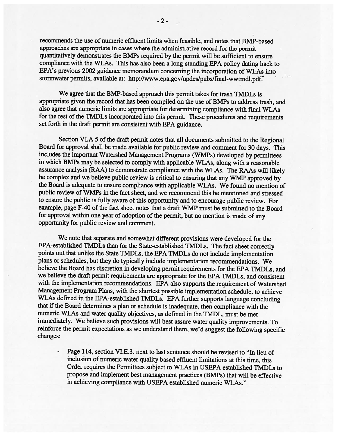recommends the use of numeric effluent limits when feasible, and notes that BMP-based approaches are appropriate in cases where the administrative record for the permit quantitatively demonstrates the BMPs required by the permit will be sufficient to ensure compliance with the WLAs. This has also been a long-standing EPA policy dating back to EPA's previous 2002 guidance memorandum concerning the incorporation of WLAs into stormwater permits, available at: http://www.epa.gov/npdes/pubs/final-wwtmdl.pdf.'

We agree that the BMP-based approach this permit takes for trash TMDLs is appropriate given the record that has been compiled on the use of BMPs to address trash, and also agree that numeric limits are appropriate for determining compliance with fmal WLAs for the rest of the TMDLs incorporated into this permit. These procedures and requirements set forth in the draft permit are consistent with EPA guidance.

Section VI.A 5 of the draft permit notes that all documents submitted to the Regional Board for approval shall be made available for public review and comment for 30 days. This includes the important Watershed Management Programs (WMPs) developed by permittees in which BMPs may be selected to comply with applicable WLAs, along with a reasonable assurance analysis (RAA) to demonstrate compliance with the WLAs. The RAAs will likely be complex and we believe public review is critical to ensuring that any WMP approved by the Board is adequate to ensure compliance with applicable WLAs. We found no mention of public review of WMPs in the fact sheet, and we recommend this be mentioned and stressed to ensure the public is fully aware of this opportunity and to encourage public review. For example, page F-40 of the fact sheet notes that a draft WMP must be submitted to the Board for approval within one year of adoption of the permit, but no mention is made of any opportunity for public review and comment.

We note that separate and somewhat different provisions were developed for the EPA-established TMDLs than for the State-established TMDLs. The fact sheet correctly points out that unlike the State TMDLs, the EPA TMDLs do not include implementation plans or schedules, but they do typically include implementation recommendations. We believe the Board has discretion in developing permit requirements for the EPA TMDLs, and we believe the draft permit requirements are appropriate for the EPA TMDLs, and consistent with the implementation recommendations. EPA also supports the requirement of Watershed Management Program Plans, with the shortest possible implementation schedule, to achieve WLAs defined in the EPA-established TMDLs. EPA further supports language concluding that if the Board determines a plan or schedule is inadequate, then compliance with the numeric WLAs and water quality objectives, as defined in the TMDL, must be met immediately. We believe such provisions will best assure water quality improvements. To reinforce the permit expectations as we understand them, we'd suggest the following specific changes:

Page 114, section VI.E.3. next to last sentence should be revised to "In lieu of inclusion of numeric water quality based effluent limitations at this time, this Order requires the Permittees subject to WLAs in USEPA established TMDLs to propose and implement best management practices (BMPs) that will be effective in achieving compliance with USEPA established numeric WLAs."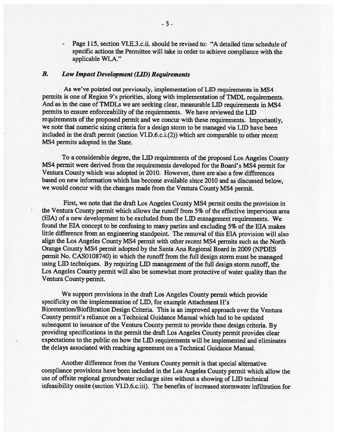Page 115, section VI.E.3.c.ii. should be revised to: "A detailed time schedule of specific actions the Permittee will take in order to achieve compliance with the applicable WLA."

#### B. Low Impact Development (LID) Requirements

As we've pointed out previously, implementation of LID requirements in MS4 permits is one of Region 9's priorities, along with implementation of TMDL requirements. And as in the case of TMDLs we are seeking clear, measurable LID requirements in MS4 permits to ensure enforceability of the requirements. We have reviewed the LID requirements of the proposed permit and we concur with these requirements. Importantly, we note that numeric sizing criteria for a design storm to be managed via LID have been included in the draft permit (section VI.D.6.c.i.(2)) which are comparable to other recent MS4 permits adopted in the State.

To a considerable degree, the LID requirements of the proposed Los Angeles County MS4 permit were derived from the requirements developed for the Board's MS4 permit for Ventura County which was adopted in 2010. However, there are also a few differences based on new information which has become available since 2010 and as discussed below, we would concur with the changes made from the Ventura County MS4 permit.

First, we note that the draft Los Angeles County MS4 permit omits the provision in the Ventura County permit which allows the runoff from 5% of the effective impervious area (EIA) of a new development to be excluded from the LID management requirements. We found the EIA concept to be confusing to many parties and excluding 5% of the EIA makes little difference from an engineering standpoint. The removal of this EIA provision will also align the Los Angeles County MS4 permit with other recent MS4 permits such as the North Orange County MS4 permit adopted by the Santa Ana Regional Board in 2009 (NPDES permit No. CAS0108740) in which the runoff from the full design storm must be managed using LID techniques. By requiring LID management of the full design storm runoff, the Los Angeles County permit will also be somewhat more protective of water quality than the Ventura County permit.

We support provisions in the draft Los Angeles County permit which provide specificity on the implementation of LID, for example Attachment H's Bioretention/Biofiltration Design Criteria. This is an improved approach over the Ventura County permit's reliance on a Technical Guidance Manual which had to be updated subsequent to issuance of the Ventura County permit to provide these design criteria. By providing specifications in the permit the draft Los Angeles County permit provides clear expectations to the public on how the LID requirements will be implemented and eliminates the delays associated with reaching agreement on a Technical Guidance Manual.

Another difference from the Ventura County permit is that special alternative compliance provisions have been included in the Los Angeles County permit which allow the use of offsite regional groundwater recharge sites without a showing of LID technical infeasibility onsite (section VI.D.6.c.iii). The benefits of increased stormwater infiltration for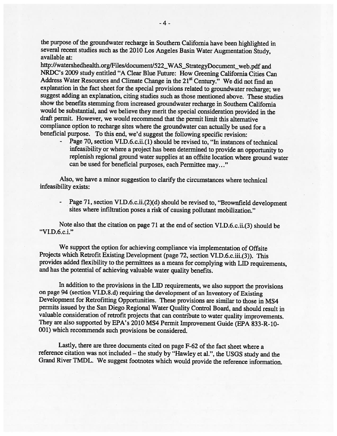the purpose of the groundwater recharge in Southern California have been highlighted in several recent studies such as the <sup>2010</sup> Los Angeles Basin Water Augmentation Study, available at:

http://watershedhealth.org/Files/document/522\_WAS\_StrategyDocument\_web.pdf and NRDC's <sup>2009</sup> study entitled "A Clear Blue Future: How Greening California Cities Can Address Water Resources and Climate Change in the 21<sup>st</sup> Century." We did not find an explanation in the fact sheet for the special provisions related to groundwater recharge; we suggest adding an explanation, citing studies such as those mentioned above. These studies show the benefits stemming from increased groundwater recharge in Southern California would be substantial, and we believe they merit the special consideration provided in the draft permit. However, we would recommend that the permit limit this alternative compliance option to recharge sites where the groundwater can actually be used for <sup>a</sup> beneficial purpose. To this end, we'd suggest the following specific revision:

- Page 70, section VI.D.6.c.ii.(1) should be revised to, "In instances of technical infeasibility or where <sup>a</sup> project has been determined to provide an opportunity to replenish regional ground water supplies at an offsite location where ground water can be used for beneficial purposes, each Permittee may..."

Also, we have <sup>a</sup> minor suggestion to clarify the circumstances where technical infeasibility exists:

- Page 71, section VI.D.6.c.ii.(2)(d) should be revised to, "Brownfield development sites where infiltration poses <sup>a</sup> risk of causing pollutant mobilization."

Note also that the citation on page <sup>71</sup> at the end of section VI.D.6.c.ii.(3) should be "VI.D.6.c.i."

We support the option for achieving compliance via implementation of Offsite Projects which Retrofit Existing Development (page 72, section VI.D.6.c.iii.(3)). This provides added flexibility to the permittees as <sup>a</sup> means for complying with LID requirements, and has the potential of achieving valuable water quality benefits.

In addition to the provisions in the LID requirements, we also support the provisions on page <sup>94</sup> (section VI.D.8.d) requiring the development of an Inventory of Existing Development for Retrofitting Opportunities. These provisions are similar to those in MS4 permits issued by the San Diego Regional Water Quality Control Board, and should result in valuable consideration of retrofit projects that can contribute to water quality improvements. They are also supported by EPA's <sup>2010</sup> MS4 Permit Improvement Guide (EPA 833-R-10- 001) which recommends such provisions be considered.

Lastly, there are three documents cited on page F-62 of the fact sheet where <sup>a</sup> reference citation was not included – the study by "Hawley et al.", the USGS study and the Grand River TMDL. We suggest footnotes which would provide the reference information.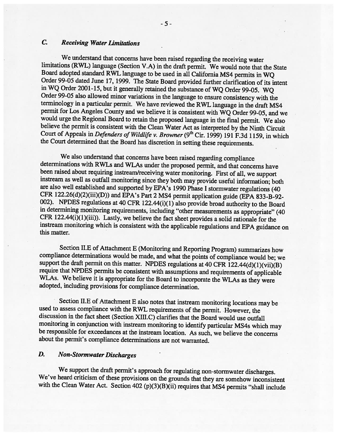#### C. Receiving Water Limitations

We understand that concerns have been raised regarding the receiving water limitations (RWL) language (Section V.A) in the draft permit. We would note that the State Board adopted standard RWL language to be used in all California MS4 permits in WQ Order 99-05 dated June 17, 1999. The State Board provided further clarification of its intent in WQ Order 2001-15, but it generally retained the substance of WQ Order 99-05. WQ Order 99-05 also allowed minor variations in the language to ensure consistency with the terminology in <sup>a</sup> particular permit. We have reviewed the RWL language in the draft MS4 permit for Los Angeles County and we believe it is consistent with WQ Order 99-05, and we would urge the Regional Board to retain the proposed language in the final permit. We also believe the permit is consistent with the Clean Water Act as interpreted by the Ninth Circuit Court of Appeals in Defenders of Wildlife v. Browner (9<sup>th</sup> Cir. 1999) 191 F.3d 1159, in which the Court determined that the Board has discretion in setting these requirements.

We also understand that concerns have been raised regarding compliance determinations with RWLs and WLAs under the proposed permit, and that concerns have been raised about requiring instream/receiving water monitoring. First of all, we support instream as well as outfall monitoring since they both may provide useful information; both are also well established and supported by EPA's <sup>1990</sup> Phase <sup>I</sup> stormwater regulations (40 CFR 122.26(d)(2)(iii)(D)) and EPA's Part <sup>2</sup> MS4 permit application guide (EPA 833-B-92- 002). NPDES regulations at <sup>40</sup> CFR 122.44(i)(1) also provide broad authority to the Board in determining monitoring requirements, including "other measurements as appropriate" (40 CFR 122.44(i)(1)(iii)). Lastly, we believe the fact sheet provides <sup>a</sup> solid rationale for the instream monitoring which is consistent with the applicable regulations and EPA guidance on this matter.

Section II.E of Attachment <sup>E</sup> (Monitoring and Reporting Program) summarizes how compliance determinations would be made, and what the points of compliance would be; we support the draft permit on this matter. NPDES regulations at 40 CFR  $122.44(d)(1)(vi)(B)$ require that NPDES permits be consistent with assumptions and requirements of applicable WLAs. We believe it is appropriate for the Board to incorporate the WLAs as they were adopted, including provisions for compliance determination.

Section II.E of Attachment <sup>E</sup> also notes that instream monitoring locations may be used to assess compliance with the RWL requirements of the permit. However, the discussion in the fact sheet (Section XIII.C) clarifies that the Board would use outfall monitoring in conjunction with instream monitoring to identify particular MS4s which may be responsible for exceedances at the instream location. As such, we believe the concerns about the permit's compliance determinations are not warranted.

## D. Non-Stormwater Discharges

We support the draft permit's approach for regulating non-storrnwater discharges. We've heard criticism of these provisions on the grounds that they are somehow inconsistent with the Clean Water Act. Section 402 (p)(3)(B)(ii) requires that MS4 permits "shall include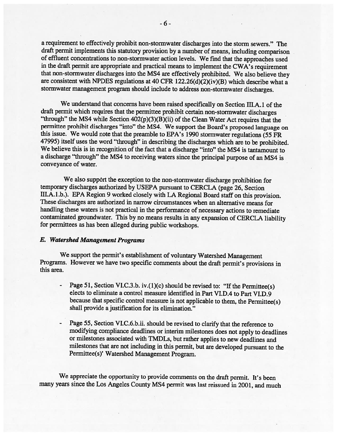<sup>a</sup> requirement to effectively prohibit non-stormwater discharges into the storm sewers." The draft permit implements this statutory provision by a number of means, including comparison of effluent concentrations to non-stormwater action levels. We find that the approaches used in the draft permit are appropriate and practical means to implement the CWA's requirement that non-stormwater discharges into the MS4 are effectively prohibited. We also believe they are consistent with NPDES regulations at 40 CFR 122.26(d)(2)(iv)(B) which describe what <sup>a</sup> stormwater management program should include to address non-stormwater discharges.

We understand that concerns have been raised specifically on Section III.A.1 of the draft permit which requires that the permittee prohibit certain non-stormwater discharges "through" the MS4 while Section 402(p)(3)(B)(ii) of the Clean Water Act requires that the permittee prohibit discharges "into" the MS4. We support the Board's proposed language on this issue. We would note that the preamble to EPA's <sup>1990</sup> stormwater regulations (55 FR 47995) itself uses the word "through" in describing the discharges which are to be prohibited. We believe this is in recognition of the fact that <sup>a</sup> discharge "into" the MS4 is tantamount to <sup>a</sup> discharge "through" the MS4 to receiving waters since the principal purpose of an MS4 is conveyance of water.

We also support the exception to the non-stormwater discharge prohibition for temporary discharges authorized by USEPA pursuant to CERCLA (page 26, Section III.A.1.b.). EPA Region 9 worked closely with LA Regional Board staff on this provision. These discharges are authorized in narrow circumstances when an alternative means for handling these waters is not practical in the performance of necessary actions to remediate contaminated groundwater. This by no means results in any expansion of CERCLA liability for permittees as has been alleged during public workshops.

#### E. Watershed Management Programs

We support the permit's establishment of voluntary Watershed Management Programs. However we have two specific comments about the draft permit's provisions in this area.

- Page 51, Section VI.C.3.b. iv.(1)(c) should be revised to: "If the Permittee(s) elects to eliminate <sup>a</sup> control measure identified in Part VI.D.4 to Part VI.D.9 because that specific control measure is not applicable to them, the Permittee(s) shall provide <sup>a</sup> justification for its elimination."
- Page 55, Section VI.C.6.b.ii. should be revised to clarify that the reference to modifying compliance deadlines or interim milestones does not apply to deadlines or milestones associated with TMDLs, but rather applies to new deadlines and milestones that are not including in this permit, but are developed pursuant to the Permittee(s)' Watershed Management Program.

We appreciate the opportunity to provide comments on the draft permit. It's been many years since the Los Angeles County MS4 permit was last reissued in 2001, and much